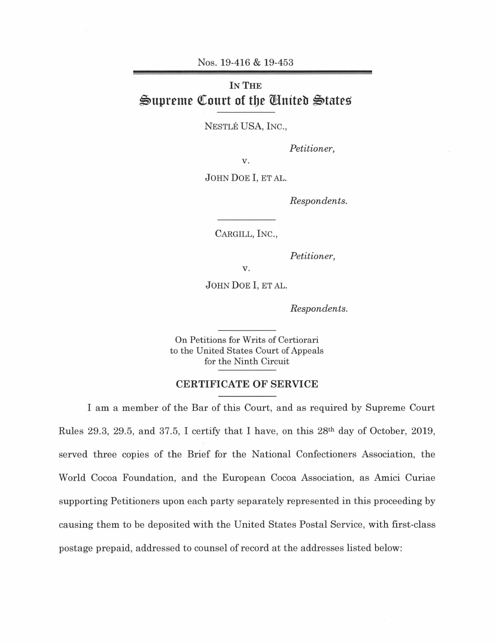Nos. 19-416 & 19-453

## **IN THE**   $\mathfrak{S}$ upreme Court of the United States

NESTLE USA, INC.,

*Petitioner,* 

v.

JOHN DOE I, ET AL.

*Respondents.* 

CARGILL, INC.,

*Petitioner,* 

v.

JOHN DOE I, ET AL.

*Respondents.* 

On Petitions for Writs of Certiorari to the United States Court of Appeals for the Ninth Circuit

## **CERTIFICATE OF SERVICE**

I am a member of the Bar of this Court, and as required by Supreme Court Rules 29.3, 29.5, and 37.5, I certify that I have, on this 28th day of October, 2019, served three copies of the Brief for the National Confectioners Association, the World Cocoa Foundation, and the European Cocoa Association, as Amici Curiae supporting Petitioners upon each party separately represented in this proceeding by causing them to be deposited with the United States Postal Service, with first-class postage prepaid, addressed to counsel of record at the addresses listed below: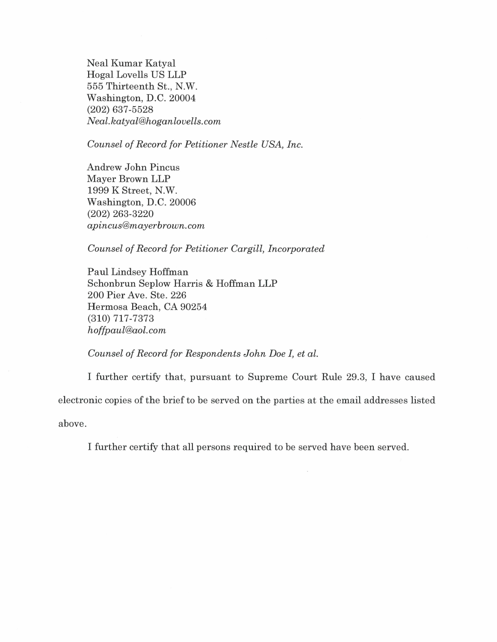Neal Kumar Katyal Hogal Lovells US LLP 555 Thirteenth St., N.W. Washington, D.C. 20004 (202) 637-5528 *Neal.katyal@hoganlovells.com* 

*Counsel of Record for Petitioner Nestle USA, Inc.* 

Andrew John Pincus Mayer Brown LLP 1999 K Street, N.W. Washington, D.C. 20006 (202) 263-3220 *apincus@mayerbrown.com* 

*Counsel of Record for Petitioner Cargill, Incorporated* 

Paul Lindsey Hoffman Schonbrun Seplow Harris & Hoffman LLP 200 Pier Ave. Ste. 226 Hermosa Beach, CA 90254 (310) 717-7373 *hoffpaul@aol.com* 

## *Counsel of Record for Respondents John Doe I, et al.*

I further certify that, pursuant to Supreme Court Rule 29.3, I have caused electronic copies of the brief to be served on the parties at the email addresses listed above.

I further certify that all persons required to be served have been served.